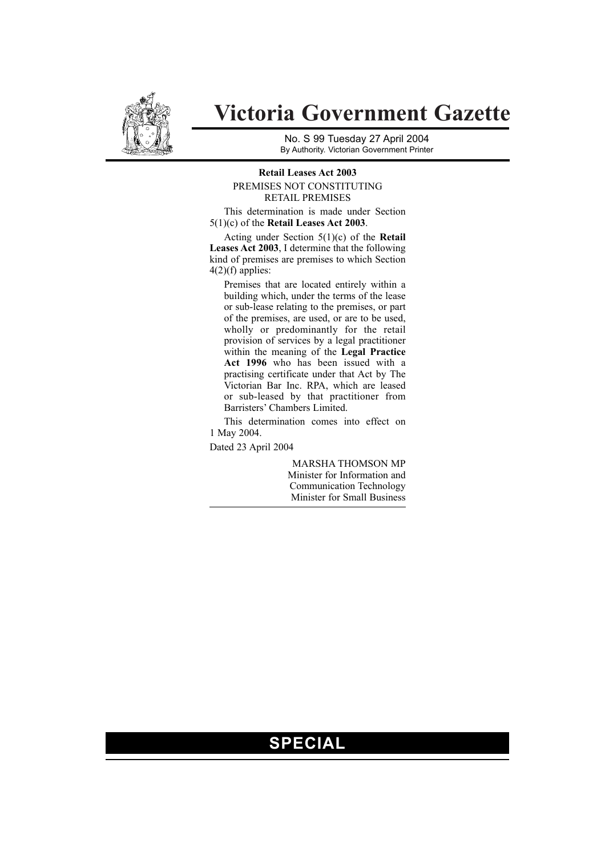

# **Victoria Government Gazette**

No. S 99 Tuesday 27 April 2004 By Authority. Victorian Government Printer

#### **Retail Leases Act 2003** PREMISES NOT CONSTITUTING RETAIL PREMISES

This determination is made under Section 5(1)(c) of the **Retail Leases Act 2003**.

Acting under Section 5(1)(c) of the **Retail Leases Act 2003**, I determine that the following kind of premises are premises to which Section  $4(2)(f)$  applies:

Premises that are located entirely within a building which, under the terms of the lease or sub-lease relating to the premises, or part of the premises, are used, or are to be used, wholly or predominantly for the retail provision of services by a legal practitioner within the meaning of the **Legal Practice Act 1996** who has been issued with a practising certificate under that Act by The Victorian Bar Inc. RPA, which are leased or sub-leased by that practitioner from Barristers' Chambers Limited.

This determination comes into effect on 1 May 2004.

Dated 23 April 2004

MARSHA THOMSON MP Minister for Information and Communication Technology Minister for Small Business

## **SPECIAL**